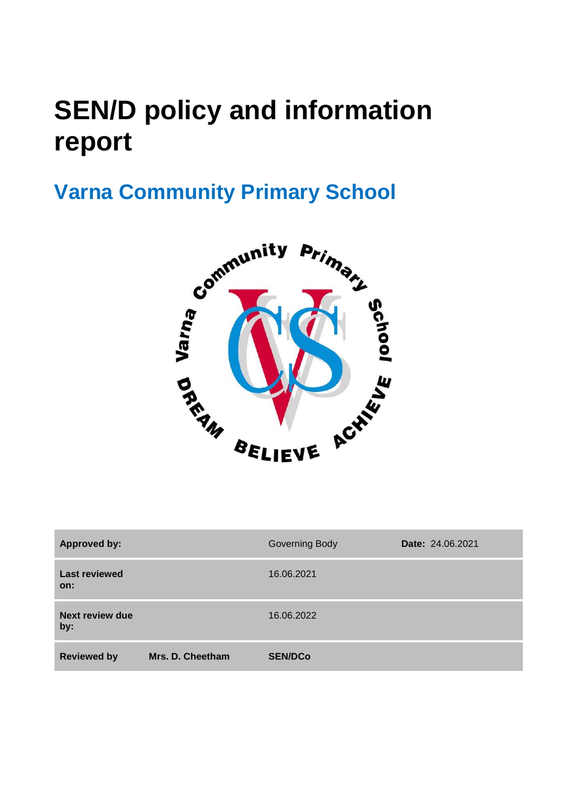# **SEN/D policy and information report**



| <b>Approved by:</b>         |                  | <b>Governing Body</b> | Date: 24.06.2021 |
|-----------------------------|------------------|-----------------------|------------------|
| <b>Last reviewed</b><br>on: |                  | 16.06.2021            |                  |
| Next review due<br>by:      |                  | 16.06.2022            |                  |
| <b>Reviewed by</b>          | Mrs. D. Cheetham | <b>SEN/DCo</b>        |                  |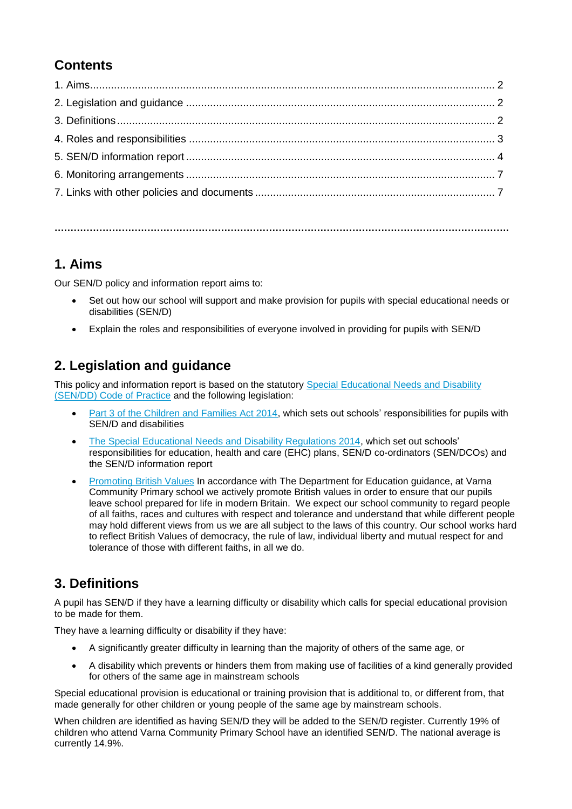# **Contents**

**…………………………………………………………………………………………………………………………….**

# **1. Aims**

Our SEN/D policy and information report aims to:

- Set out how our school will support and make provision for pupils with special educational needs or disabilities (SEN/D)
- Explain the roles and responsibilities of everyone involved in providing for pupils with SEN/D

# **2. Legislation and guidance**

This policy and information report is based on the statutory [Special Educational Needs and Disability](https://www.gov.uk/government/uploads/system/uploads/attachment_data/file/398815/SEND_Code_of_Practice_January_2015.pdf)  [\(SEN/DD\) Code of](https://www.gov.uk/government/uploads/system/uploads/attachment_data/file/398815/SEND_Code_of_Practice_January_2015.pdf) Practice and the following legislation:

- [Part 3 of the Children and Families Act 2014,](http://www.legislation.gov.uk/ukpga/2014/6/part/3) which sets out schools' responsibilities for pupils with SEN/D and disabilities
- [The Special Educational Needs and Disability Regulations 2014,](http://www.legislation.gov.uk/uksi/2014/1530/contents/made) which set out schools' responsibilities for education, health and care (EHC) plans, SEN/D co-ordinators (SEN/DCOs) and the SEN/D information report
- [Promoting British Values](https://www.gov.uk/government/publications/promoting-fundamental-british-values-through-smsc) In accordance with The Department for Education guidance, at Varna Community Primary school we actively promote British values in order to ensure that our pupils leave school prepared for life in modern Britain. We expect our school community to regard people of all faiths, races and cultures with respect and tolerance and understand that while different people may hold different views from us we are all subject to the laws of this country. Our school works hard to reflect British Values of democracy, the rule of law, individual liberty and mutual respect for and tolerance of those with different faiths, in all we do.

# **3. Definitions**

A pupil has SEN/D if they have a learning difficulty or disability which calls for special educational provision to be made for them.

They have a learning difficulty or disability if they have:

- A significantly greater difficulty in learning than the majority of others of the same age, or
- A disability which prevents or hinders them from making use of facilities of a kind generally provided for others of the same age in mainstream schools

Special educational provision is educational or training provision that is additional to, or different from, that made generally for other children or young people of the same age by mainstream schools.

When children are identified as having SEN/D they will be added to the SEN/D register. Currently 19% of children who attend Varna Community Primary School have an identified SEN/D. The national average is currently 14.9%.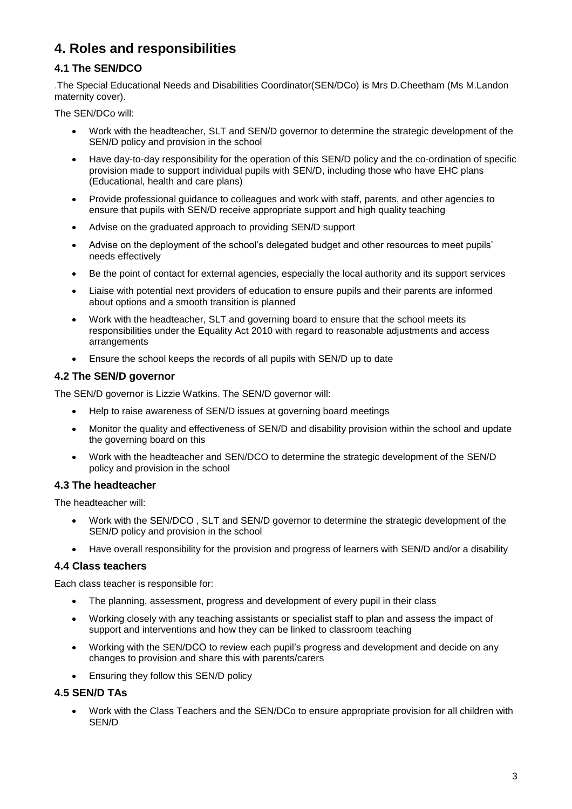# **4. Roles and responsibilities**

### **4.1 The SEN/DCO**

*.*The Special Educational Needs and Disabilities Coordinator(SEN/DCo) is Mrs D.Cheetham (Ms M.Landon maternity cover).

The SEN/DCo will:

- Work with the headteacher, SLT and SEN/D governor to determine the strategic development of the SEN/D policy and provision in the school
- Have day-to-day responsibility for the operation of this SEN/D policy and the co-ordination of specific provision made to support individual pupils with SEN/D, including those who have EHC plans (Educational, health and care plans)
- Provide professional guidance to colleagues and work with staff, parents, and other agencies to ensure that pupils with SEN/D receive appropriate support and high quality teaching
- Advise on the graduated approach to providing SEN/D support
- Advise on the deployment of the school's delegated budget and other resources to meet pupils' needs effectively
- Be the point of contact for external agencies, especially the local authority and its support services
- Liaise with potential next providers of education to ensure pupils and their parents are informed about options and a smooth transition is planned
- Work with the headteacher, SLT and governing board to ensure that the school meets its responsibilities under the Equality Act 2010 with regard to reasonable adjustments and access arrangements
- Ensure the school keeps the records of all pupils with SEN/D up to date

#### **4.2 The SEN/D governor**

The SEN/D governor is Lizzie Watkins. The SEN/D governor will:

- Help to raise awareness of SEN/D issues at governing board meetings
- Monitor the quality and effectiveness of SEN/D and disability provision within the school and update the governing board on this
- Work with the headteacher and SEN/DCO to determine the strategic development of the SEN/D policy and provision in the school

#### **4.3 The headteacher**

The headteacher will:

- Work with the SEN/DCO , SLT and SEN/D governor to determine the strategic development of the SEN/D policy and provision in the school
- Have overall responsibility for the provision and progress of learners with SEN/D and/or a disability

#### **4.4 Class teachers**

Each class teacher is responsible for:

- The planning, assessment, progress and development of every pupil in their class
- Working closely with any teaching assistants or specialist staff to plan and assess the impact of support and interventions and how they can be linked to classroom teaching
- Working with the SEN/DCO to review each pupil's progress and development and decide on any changes to provision and share this with parents/carers
- Ensuring they follow this SEN/D policy

#### **4.5 SEN/D TAs**

 Work with the Class Teachers and the SEN/DCo to ensure appropriate provision for all children with SEN/D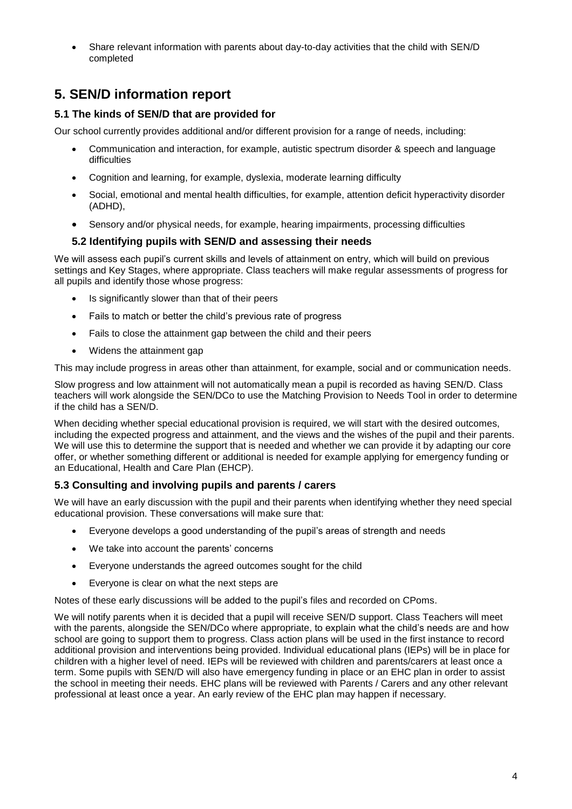Share relevant information with parents about day-to-day activities that the child with SEN/D completed

# **5. SEN/D information report**

#### **5.1 The kinds of SEN/D that are provided for**

Our school currently provides additional and/or different provision for a range of needs, including:

- Communication and interaction, for example, autistic spectrum disorder & speech and language difficulties
- Cognition and learning, for example, dyslexia, moderate learning difficulty
- Social, emotional and mental health difficulties, for example, attention deficit hyperactivity disorder (ADHD),
- Sensory and/or physical needs, for example, hearing impairments, processing difficulties

#### **5.2 Identifying pupils with SEN/D and assessing their needs**

We will assess each pupil's current skills and levels of attainment on entry, which will build on previous settings and Key Stages, where appropriate. Class teachers will make regular assessments of progress for all pupils and identify those whose progress:

- Is significantly slower than that of their peers
- Fails to match or better the child's previous rate of progress
- Fails to close the attainment gap between the child and their peers
- Widens the attainment gap

This may include progress in areas other than attainment, for example, social and or communication needs.

Slow progress and low attainment will not automatically mean a pupil is recorded as having SEN/D. Class teachers will work alongside the SEN/DCo to use the Matching Provision to Needs Tool in order to determine if the child has a SEN/D.

When deciding whether special educational provision is required, we will start with the desired outcomes, including the expected progress and attainment, and the views and the wishes of the pupil and their parents. We will use this to determine the support that is needed and whether we can provide it by adapting our core offer, or whether something different or additional is needed for example applying for emergency funding or an Educational, Health and Care Plan (EHCP).

#### **5.3 Consulting and involving pupils and parents / carers**

We will have an early discussion with the pupil and their parents when identifying whether they need special educational provision. These conversations will make sure that:

- Everyone develops a good understanding of the pupil's areas of strength and needs
- We take into account the parents' concerns
- Everyone understands the agreed outcomes sought for the child
- Everyone is clear on what the next steps are

Notes of these early discussions will be added to the pupil's files and recorded on CPoms.

We will notify parents when it is decided that a pupil will receive SEN/D support. Class Teachers will meet with the parents, alongside the SEN/DCo where appropriate, to explain what the child's needs are and how school are going to support them to progress. Class action plans will be used in the first instance to record additional provision and interventions being provided. Individual educational plans (IEPs) will be in place for children with a higher level of need. IEPs will be reviewed with children and parents/carers at least once a term. Some pupils with SEN/D will also have emergency funding in place or an EHC plan in order to assist the school in meeting their needs. EHC plans will be reviewed with Parents / Carers and any other relevant professional at least once a year. An early review of the EHC plan may happen if necessary.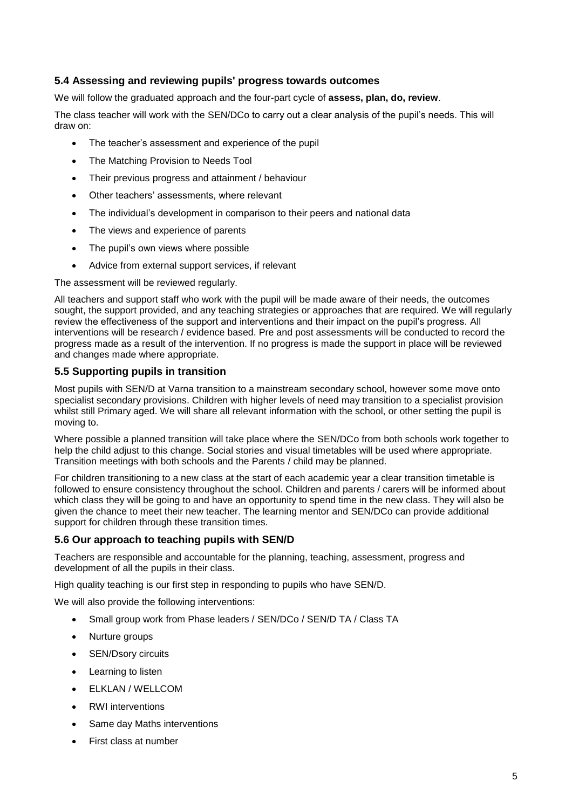#### **5.4 Assessing and reviewing pupils' progress towards outcomes**

We will follow the graduated approach and the four-part cycle of **assess, plan, do, review**.

The class teacher will work with the SEN/DCo to carry out a clear analysis of the pupil's needs. This will draw on:

- The teacher's assessment and experience of the pupil
- The Matching Provision to Needs Tool
- Their previous progress and attainment / behaviour
- Other teachers' assessments, where relevant
- The individual's development in comparison to their peers and national data
- The views and experience of parents
- The pupil's own views where possible
- Advice from external support services, if relevant

The assessment will be reviewed regularly.

All teachers and support staff who work with the pupil will be made aware of their needs, the outcomes sought, the support provided, and any teaching strategies or approaches that are required. We will regularly review the effectiveness of the support and interventions and their impact on the pupil's progress. All interventions will be research / evidence based. Pre and post assessments will be conducted to record the progress made as a result of the intervention. If no progress is made the support in place will be reviewed and changes made where appropriate.

#### **5.5 Supporting pupils in transition**

Most pupils with SEN/D at Varna transition to a mainstream secondary school, however some move onto specialist secondary provisions. Children with higher levels of need may transition to a specialist provision whilst still Primary aged. We will share all relevant information with the school, or other setting the pupil is moving to.

Where possible a planned transition will take place where the SEN/DCo from both schools work together to help the child adjust to this change. Social stories and visual timetables will be used where appropriate. Transition meetings with both schools and the Parents / child may be planned.

For children transitioning to a new class at the start of each academic year a clear transition timetable is followed to ensure consistency throughout the school. Children and parents / carers will be informed about which class they will be going to and have an opportunity to spend time in the new class. They will also be given the chance to meet their new teacher. The learning mentor and SEN/DCo can provide additional support for children through these transition times.

#### **5.6 Our approach to teaching pupils with SEN/D**

Teachers are responsible and accountable for the planning, teaching, assessment, progress and development of all the pupils in their class.

High quality teaching is our first step in responding to pupils who have SEN/D.

We will also provide the following interventions:

- Small group work from Phase leaders / SEN/DCo / SEN/D TA / Class TA
- Nurture groups
- SEN/Dsory circuits
- Learning to listen
- ELKLAN / WELLCOM
- RWI interventions
- Same day Maths interventions
- First class at number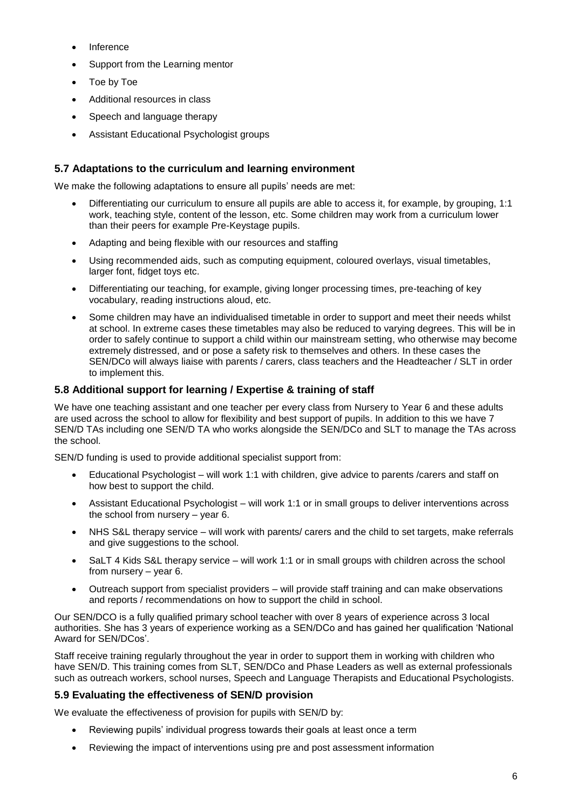- Inference
- Support from the Learning mentor
- Toe by Toe
- Additional resources in class
- Speech and language therapy
- Assistant Educational Psychologist groups

#### **5.7 Adaptations to the curriculum and learning environment**

We make the following adaptations to ensure all pupils' needs are met:

- Differentiating our curriculum to ensure all pupils are able to access it, for example, by grouping, 1:1 work, teaching style, content of the lesson, etc. Some children may work from a curriculum lower than their peers for example Pre-Keystage pupils.
- Adapting and being flexible with our resources and staffing
- Using recommended aids, such as computing equipment, coloured overlays, visual timetables, larger font, fidget toys etc.
- Differentiating our teaching, for example, giving longer processing times, pre-teaching of key vocabulary, reading instructions aloud, etc.
- Some children may have an individualised timetable in order to support and meet their needs whilst at school. In extreme cases these timetables may also be reduced to varying degrees. This will be in order to safely continue to support a child within our mainstream setting, who otherwise may become extremely distressed, and or pose a safety risk to themselves and others. In these cases the SEN/DCo will always liaise with parents / carers, class teachers and the Headteacher / SLT in order to implement this.

#### **5.8 Additional support for learning / Expertise & training of staff**

We have one teaching assistant and one teacher per every class from Nursery to Year 6 and these adults are used across the school to allow for flexibility and best support of pupils. In addition to this we have 7 SEN/D TAs including one SEN/D TA who works alongside the SEN/DCo and SLT to manage the TAs across the school.

SEN/D funding is used to provide additional specialist support from:

- Educational Psychologist will work 1:1 with children, give advice to parents /carers and staff on how best to support the child.
- Assistant Educational Psychologist will work 1:1 or in small groups to deliver interventions across the school from nursery – year 6.
- NHS S&L therapy service will work with parents/ carers and the child to set targets, make referrals and give suggestions to the school.
- SaLT 4 Kids S&L therapy service will work 1:1 or in small groups with children across the school from nursery – year 6.
- Outreach support from specialist providers will provide staff training and can make observations and reports / recommendations on how to support the child in school.

Our SEN/DCO is a fully qualified primary school teacher with over 8 years of experience across 3 local authorities. She has 3 years of experience working as a SEN/DCo and has gained her qualification 'National Award for SEN/DCos'.

Staff receive training regularly throughout the year in order to support them in working with children who have SEN/D. This training comes from SLT, SEN/DCo and Phase Leaders as well as external professionals such as outreach workers, school nurses, Speech and Language Therapists and Educational Psychologists.

#### **5.9 Evaluating the effectiveness of SEN/D provision**

We evaluate the effectiveness of provision for pupils with SEN/D by:

- Reviewing pupils' individual progress towards their goals at least once a term
- Reviewing the impact of interventions using pre and post assessment information